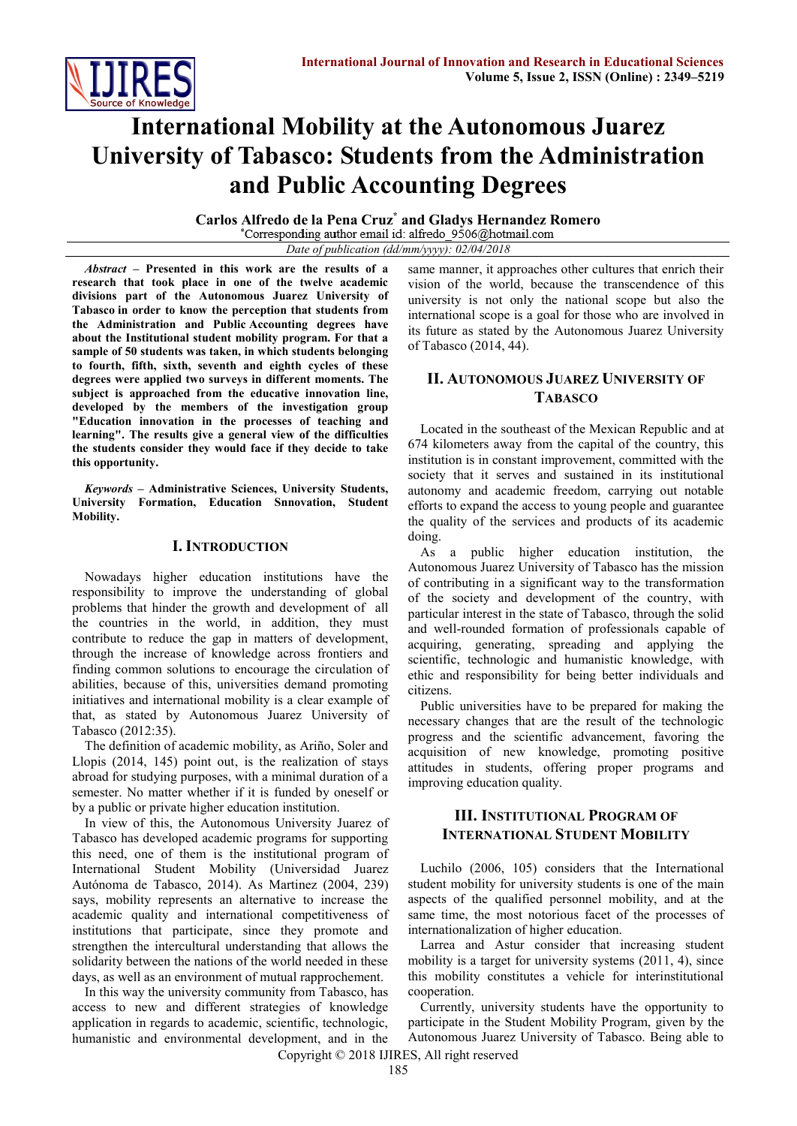

# **International Mobility at the Autonomous Juarez University of Tabasco: Students from the Administration and Public Accounting Degrees**

**Carlos Alfredo de la Pena Cruz\* and Gladys Hernandez Romero**

*Date of publication (dd/mm/yyyy): 02/04/2018*

*Abstract* **– Presented in this work are the results of a research that took place in one of the twelve academic divisions part of the Autonomous Juarez University of Tabasco in order to know the perception that students from the Administration and Public Accounting degrees have about the Institutional student mobility program. For that a sample of 50 students was taken, in which students belonging to fourth, fifth, sixth, seventh and eighth cycles of these degrees were applied two surveys in different moments. The subject is approached from the educative innovation line, developed by the members of the investigation group "Education innovation in the processes of teaching and learning". The results give a general view of the difficulties the students consider they would face if they decide to take this opportunity.**

*Keywords –* **Administrative Sciences, University Students, University Formation, Education Snnovation, Student Mobility.**

## **I. INTRODUCTION**

Nowadays higher education institutions have the responsibility to improve the understanding of global problems that hinder the growth and development of all the countries in the world, in addition, they must contribute to reduce the gap in matters of development, through the increase of knowledge across frontiers and finding common solutions to encourage the circulation of abilities, because of this, universities demand promoting initiatives and international mobility is a clear example of that, as stated by Autonomous Juarez University of Tabasco (2012:35).

The definition of academic mobility, as Ariño, Soler and Llopis (2014, 145) point out, is the realization of stays abroad for studying purposes, with a minimal duration of a semester. No matter whether if it is funded by oneself or by a public or private higher education institution.

In view of this, the Autonomous University Juarez of Tabasco has developed academic programs for supporting this need, one of them is the institutional program of International Student Mobility (Universidad Juarez Autónoma de Tabasco, 2014). As Martinez (2004, 239) says, mobility represents an alternative to increase the academic quality and international competitiveness of institutions that participate, since they promote and strengthen the intercultural understanding that allows the solidarity between the nations of the world needed in these days, as well as an environment of mutual rapprochement.

In this way the university community from Tabasco, has access to new and different strategies of knowledge application in regards to academic, scientific, technologic, humanistic and environmental development, and in the same manner, it approaches other cultures that enrich their vision of the world, because the transcendence of this university is not only the national scope but also the international scope is a goal for those who are involved in its future as stated by the Autonomous Juarez University of Tabasco (2014, 44).

# **II. AUTONOMOUS JUAREZ UNIVERSITY OF TABASCO**

Located in the southeast of the Mexican Republic and at 674 kilometers away from the capital of the country, this institution is in constant improvement, committed with the society that it serves and sustained in its institutional autonomy and academic freedom, carrying out notable efforts to expand the access to young people and guarantee the quality of the services and products of its academic doing.

As a public higher education institution, the Autonomous Juarez University of Tabasco has the mission of contributing in a significant way to the transformation of the society and development of the country, with particular interest in the state of Tabasco, through the solid and well-rounded formation of professionals capable of acquiring, generating, spreading and applying the scientific, technologic and humanistic knowledge, with ethic and responsibility for being better individuals and citizens.

Public universities have to be prepared for making the necessary changes that are the result of the technologic progress and the scientific advancement, favoring the acquisition of new knowledge, promoting positive attitudes in students, offering proper programs and improving education quality.

## **III. INSTITUTIONAL PROGRAM OF INTERNATIONAL STUDENT MOBILITY**

Luchilo (2006, 105) considers that the International student mobility for university students is one of the main aspects of the qualified personnel mobility, and at the same time, the most notorious facet of the processes of internationalization of higher education.

Larrea and Astur consider that increasing student mobility is a target for university systems (2011, 4), since this mobility constitutes a vehicle for interinstitutional cooperation.

Currently, university students have the opportunity to participate in the Student Mobility Program, given by the Autonomous Juarez University of Tabasco. Being able to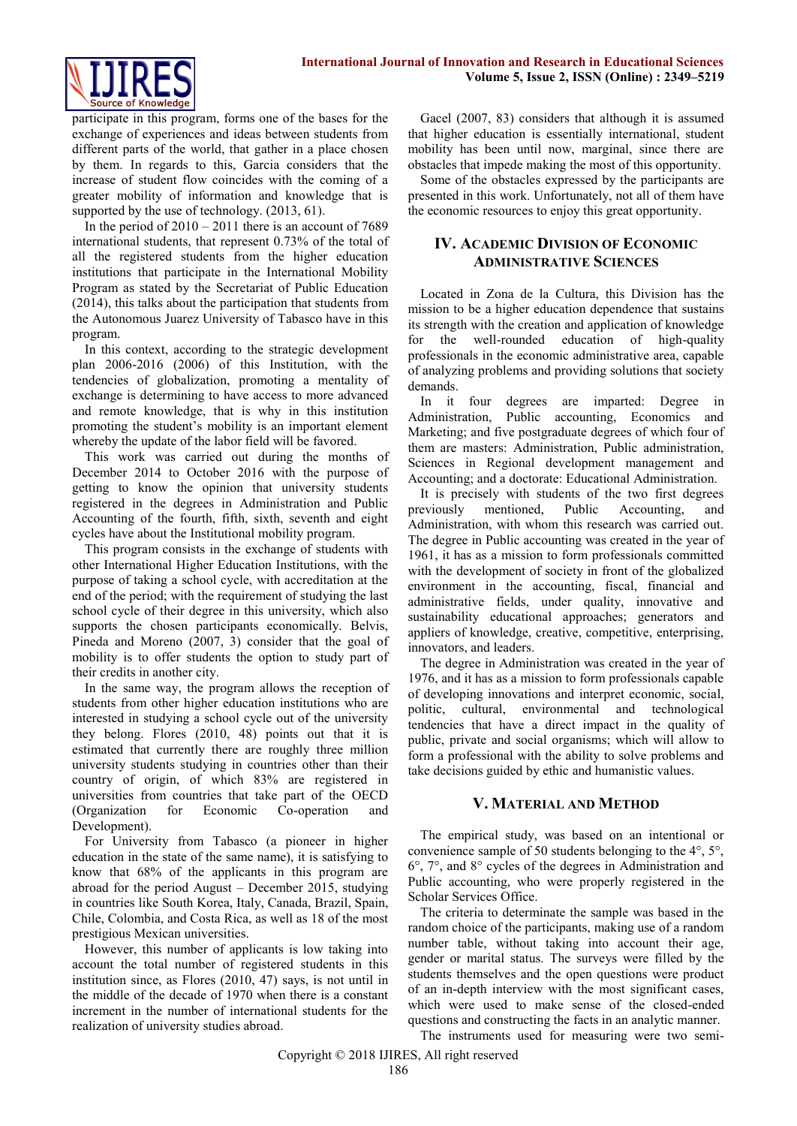

participate in this program, forms one of the bases for the exchange of experiences and ideas between students from different parts of the world, that gather in a place chosen by them. In regards to this, Garcia considers that the increase of student flow coincides with the coming of a greater mobility of information and knowledge that is supported by the use of technology. (2013, 61).

In the period of  $2010 - 2011$  there is an account of 7689 international students, that represent 0.73% of the total of all the registered students from the higher education institutions that participate in the International Mobility Program as stated by the Secretariat of Public Education (2014), this talks about the participation that students from the Autonomous Juarez University of Tabasco have in this program.

In this context, according to the strategic development plan 2006-2016 (2006) of this Institution, with the tendencies of globalization, promoting a mentality of exchange is determining to have access to more advanced and remote knowledge, that is why in this institution promoting the student's mobility is an important element whereby the update of the labor field will be favored.

This work was carried out during the months of December 2014 to October 2016 with the purpose of getting to know the opinion that university students registered in the degrees in Administration and Public Accounting of the fourth, fifth, sixth, seventh and eight cycles have about the Institutional mobility program.

This program consists in the exchange of students with other International Higher Education Institutions, with the purpose of taking a school cycle, with accreditation at the end of the period; with the requirement of studying the last school cycle of their degree in this university, which also supports the chosen participants economically. Belvis, Pineda and Moreno (2007, 3) consider that the goal of mobility is to offer students the option to study part of their credits in another city.

In the same way, the program allows the reception of students from other higher education institutions who are interested in studying a school cycle out of the university they belong. Flores (2010, 48) points out that it is estimated that currently there are roughly three million university students studying in countries other than their country of origin, of which 83% are registered in universities from countries that take part of the OECD (Organization for Economic Co-operation and Development).

For University from Tabasco (a pioneer in higher education in the state of the same name), it is satisfying to know that 68% of the applicants in this program are abroad for the period August – December 2015, studying in countries like South Korea, Italy, Canada, Brazil, Spain, Chile, Colombia, and Costa Rica, as well as 18 of the most prestigious Mexican universities.

However, this number of applicants is low taking into account the total number of registered students in this institution since, as Flores (2010, 47) says, is not until in the middle of the decade of 1970 when there is a constant increment in the number of international students for the realization of university studies abroad.

Gacel (2007, 83) considers that although it is assumed that higher education is essentially international, student mobility has been until now, marginal, since there are obstacles that impede making the most of this opportunity.

Some of the obstacles expressed by the participants are presented in this work. Unfortunately, not all of them have the economic resources to enjoy this great opportunity.

# **IV. ACADEMIC DIVISION OF ECONOMIC ADMINISTRATIVE SCIENCES**

Located in Zona de la Cultura, this Division has the mission to be a higher education dependence that sustains its strength with the creation and application of knowledge for the well-rounded education of high-quality professionals in the economic administrative area, capable of analyzing problems and providing solutions that society demands.

In it four degrees are imparted: Degree in Administration, Public accounting, Economics and Marketing; and five postgraduate degrees of which four of them are masters: Administration, Public administration, Sciences in Regional development management and Accounting; and a doctorate: Educational Administration.

It is precisely with students of the two first degrees previously mentioned, Public Accounting, and Administration, with whom this research was carried out. The degree in Public accounting was created in the year of 1961, it has as a mission to form professionals committed with the development of society in front of the globalized environment in the accounting, fiscal, financial and administrative fields, under quality, innovative and sustainability educational approaches; generators and appliers of knowledge, creative, competitive, enterprising, innovators, and leaders.

The degree in Administration was created in the year of 1976, and it has as a mission to form professionals capable of developing innovations and interpret economic, social, politic, cultural, environmental and technological tendencies that have a direct impact in the quality of public, private and social organisms; which will allow to form a professional with the ability to solve problems and take decisions guided by ethic and humanistic values.

## **V. MATERIAL AND METHOD**

The empirical study, was based on an intentional or convenience sample of 50 students belonging to the 4°, 5°, 6°, 7°, and 8° cycles of the degrees in Administration and Public accounting, who were properly registered in the Scholar Services Office.

The criteria to determinate the sample was based in the random choice of the participants, making use of a random number table, without taking into account their age, gender or marital status. The surveys were filled by the students themselves and the open questions were product of an in-depth interview with the most significant cases, which were used to make sense of the closed-ended questions and constructing the facts in an analytic manner.

The instruments used for measuring were two semi-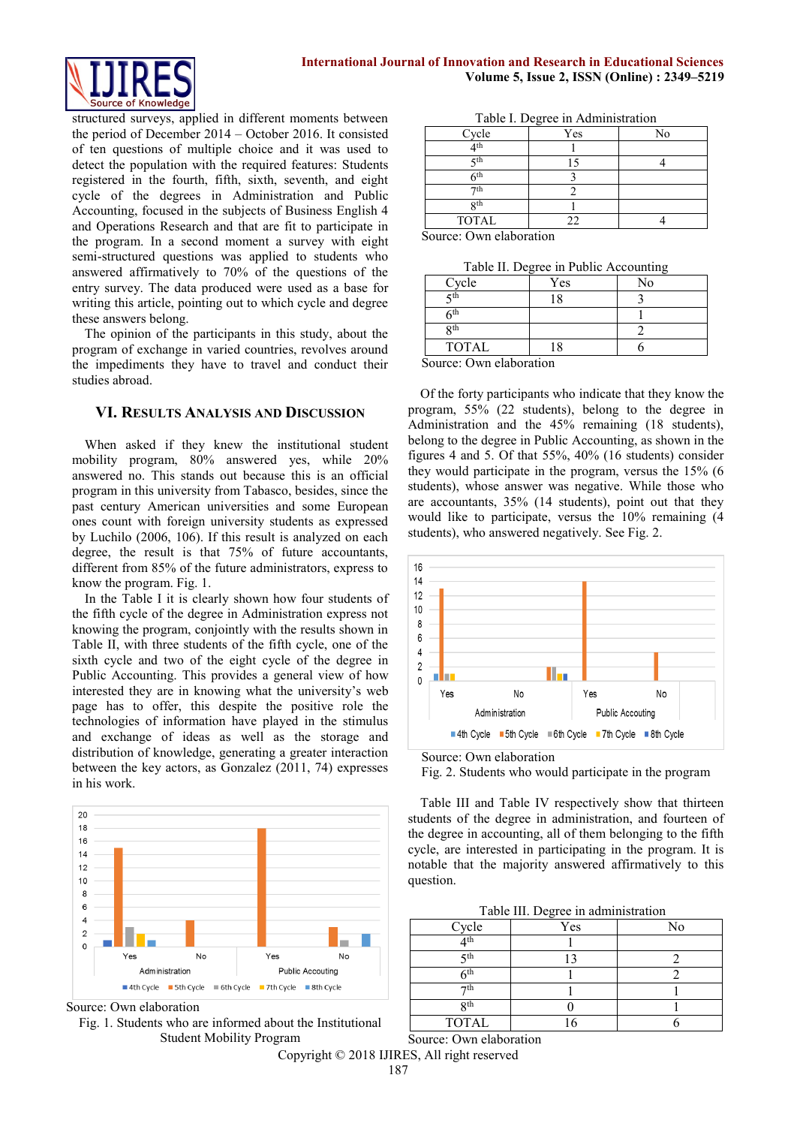

structured surveys, applied in different moments between the period of December 2014 – October 2016. It consisted of ten questions of multiple choice and it was used to detect the population with the required features: Students registered in the fourth, fifth, sixth, seventh, and eight cycle of the degrees in Administration and Public Accounting, focused in the subjects of Business English 4 and Operations Research and that are fit to participate in the program. In a second moment a survey with eight semi-structured questions was applied to students who answered affirmatively to 70% of the questions of the entry survey. The data produced were used as a base for writing this article, pointing out to which cycle and degree these answers belong.

The opinion of the participants in this study, about the program of exchange in varied countries, revolves around the impediments they have to travel and conduct their studies abroad.

## **VI. RESULTS ANALYSIS AND DISCUSSION**

When asked if they knew the institutional student mobility program, 80% answered yes, while 20% answered no. This stands out because this is an official program in this university from Tabasco, besides, since the past century American universities and some European ones count with foreign university students as expressed by Luchilo (2006, 106). If this result is analyzed on each degree, the result is that 75% of future accountants, different from 85% of the future administrators, express to know the program. Fig. 1.

In the Table I it is clearly shown how four students of the fifth cycle of the degree in Administration express not knowing the program, conjointly with the results shown in Table II, with three students of the fifth cycle, one of the sixth cycle and two of the eight cycle of the degree in Public Accounting. This provides a general view of how interested they are in knowing what the university's web page has to offer, this despite the positive role the technologies of information have played in the stimulus and exchange of ideas as well as the storage and distribution of knowledge, generating a greater interaction between the key actors, as Gonzalez (2011, 74) expresses in his work.



Source: Own elaboration

Fig. 1. Students who are informed about the Institutional Student Mobility Program

Table I. Degree in Administration

Source: Own elaboration

| Table II. Degree in Public Accounting |
|---------------------------------------|
|---------------------------------------|

| Cycle           | Yes                      | No |
|-----------------|--------------------------|----|
| ςth             |                          |    |
| 6th             |                          |    |
| gth             |                          |    |
| <b>TOTAL</b>    |                          |    |
| . .<br>--<br>۰. | $\overline{\phantom{a}}$ |    |

Source: Own elaboration

Of the forty participants who indicate that they know the program, 55% (22 students), belong to the degree in Administration and the 45% remaining (18 students), belong to the degree in Public Accounting, as shown in the figures 4 and 5. Of that 55%, 40% (16 students) consider they would participate in the program, versus the 15% (6 students), whose answer was negative. While those who are accountants, 35% (14 students), point out that they would like to participate, versus the 10% remaining (4 students), who answered negatively. See Fig. 2.





Fig. 2. Students who would participate in the program

Table III and Table IV respectively show that thirteen students of the degree in administration, and fourteen of the degree in accounting, all of them belonging to the fifth cycle, are interested in participating in the program. It is notable that the majority answered affirmatively to this question.

| Cycle             | Yes | No |
|-------------------|-----|----|
| $A$ <sup>th</sup> |     |    |
| ςth               |     |    |
| ∠th               |     |    |
| ⊿th               |     |    |
| <b>Rth</b>        |     |    |
| <b>TOTAL</b>      |     |    |

Source: Own elaboration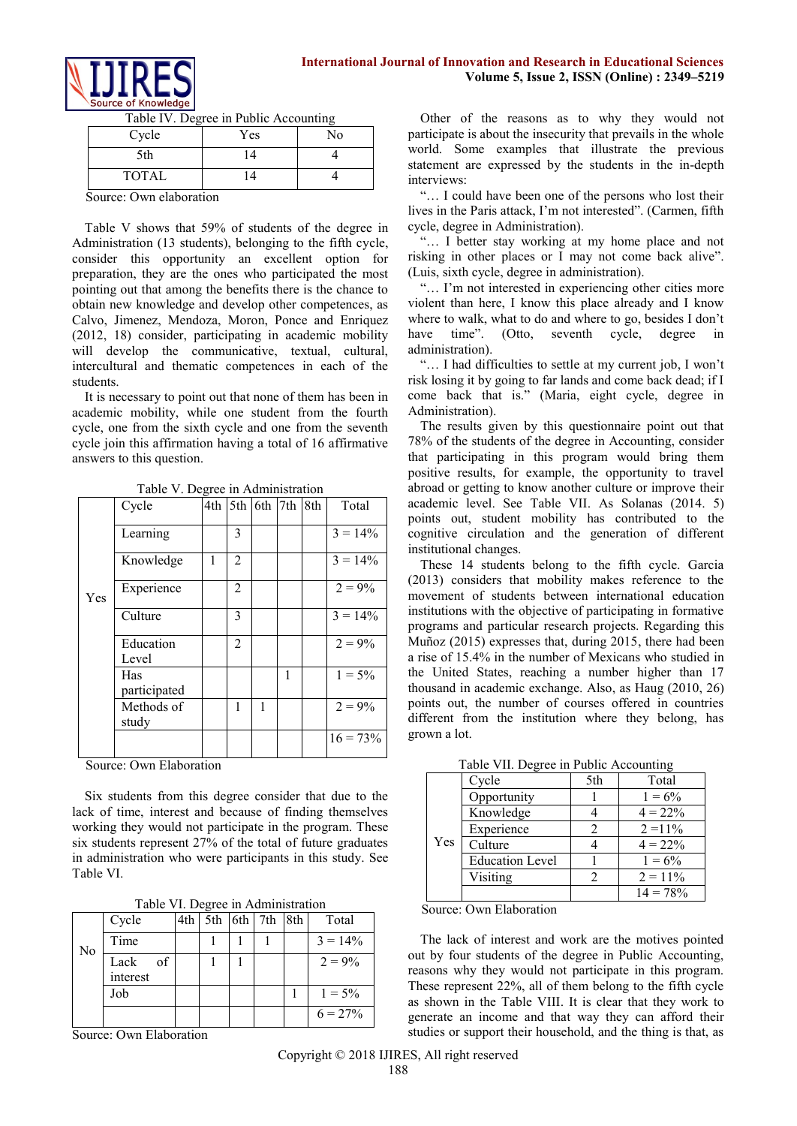

| Cycle        | Yes | No |
|--------------|-----|----|
| 5th          | 14  |    |
| <b>TOTAL</b> |     |    |

Table IV. Degree in Public Accounting

Source: Own elaboration

Table V shows that 59% of students of the degree in Administration (13 students), belonging to the fifth cycle, consider this opportunity an excellent option for preparation, they are the ones who participated the most pointing out that among the benefits there is the chance to obtain new knowledge and develop other competences, as Calvo, Jimenez, Mendoza, Moron, Ponce and Enriquez (2012, 18) consider, participating in academic mobility will develop the communicative, textual, cultural, intercultural and thematic competences in each of the students.

It is necessary to point out that none of them has been in academic mobility, while one student from the fourth cycle, one from the sixth cycle and one from the seventh cycle join this affirmation having a total of 16 affirmative answers to this question.

|     | Cycle               | 4th | 5th            | $6th$ 7th |   | 8th | Total       |
|-----|---------------------|-----|----------------|-----------|---|-----|-------------|
|     | Learning            |     | 3              |           |   |     | $3 = 14\%$  |
|     | Knowledge           | 1   | 2              |           |   |     | $3 = 14\%$  |
| Yes | Experience          |     | $\overline{2}$ |           |   |     | $2 = 9\%$   |
|     | Culture             |     | 3              |           |   |     | $3 = 14\%$  |
|     | Education<br>Level  |     | $\overline{c}$ |           |   |     | $2 = 9\%$   |
|     | Has<br>participated |     |                |           | 1 |     | $1 = 5\%$   |
|     | Methods of<br>study |     | 1              | 1         |   |     | $2 = 9\%$   |
|     |                     |     |                |           |   |     | $16 = 73\%$ |

Table V. Degree in Administration

Source: Own Elaboration

Six students from this degree consider that due to the lack of time, interest and because of finding themselves working they would not participate in the program. These six students represent 27% of the total of future graduates in administration who were participants in this study. See Table VI.

Table VI. Degree in Administration

|    | Cycle                  | 4th | $5th$ 6th | 7th | 8th | Total      |
|----|------------------------|-----|-----------|-----|-----|------------|
| No | Time                   |     |           |     |     | $3 = 14\%$ |
|    | of<br>Lack<br>interest |     |           |     |     | $2 = 9\%$  |
|    | Job                    |     |           |     |     | $1 = 5\%$  |
|    |                        |     |           |     |     | $6 = 27\%$ |

Source: Own Elaboration

Other of the reasons as to why they would not participate is about the insecurity that prevails in the whole world. Some examples that illustrate the previous statement are expressed by the students in the in-depth interviews:

"… I could have been one of the persons who lost their lives in the Paris attack, I'm not interested". (Carmen, fifth cycle, degree in Administration).

"… I better stay working at my home place and not risking in other places or I may not come back alive". (Luis, sixth cycle, degree in administration).

"… I'm not interested in experiencing other cities more violent than here, I know this place already and I know where to walk, what to do and where to go, besides I don't have time". (Otto, seventh cycle, degree in administration).

"… I had difficulties to settle at my current job, I won't risk losing it by going to far lands and come back dead; if I come back that is." (Maria, eight cycle, degree in Administration).

The results given by this questionnaire point out that 78% of the students of the degree in Accounting, consider that participating in this program would bring them positive results, for example, the opportunity to travel abroad or getting to know another culture or improve their academic level. See Table VII. As Solanas (2014. 5) points out, student mobility has contributed to the cognitive circulation and the generation of different institutional changes.

These 14 students belong to the fifth cycle. Garcia (2013) considers that mobility makes reference to the movement of students between international education institutions with the objective of participating in formative programs and particular research projects. Regarding this Muñoz (2015) expresses that, during 2015, there had been a rise of 15.4% in the number of Mexicans who studied in the United States, reaching a number higher than 17 thousand in academic exchange. Also, as Haug (2010, 26) points out, the number of courses offered in countries different from the institution where they belong, has grown a lot.

|     | $\frac{1}{2}$          |     |            |
|-----|------------------------|-----|------------|
|     | Cycle                  | 5th | Total      |
|     | Opportunity            |     | $1 = 6\%$  |
|     | Knowledge              |     | $4 = 22\%$ |
|     | Experience             |     | $2 = 11\%$ |
| Yes | Culture                |     | $4 = 22%$  |
|     | <b>Education Level</b> |     | $1 = 6\%$  |
|     | Visiting               | っ   | $2 = 11\%$ |
|     |                        |     | $14 = 78%$ |

Table VII. Degree in Public Accounting

Source: Own Elaboration

The lack of interest and work are the motives pointed out by four students of the degree in Public Accounting, reasons why they would not participate in this program. These represent 22%, all of them belong to the fifth cycle as shown in the Table VIII. It is clear that they work to generate an income and that way they can afford their studies or support their household, and the thing is that, as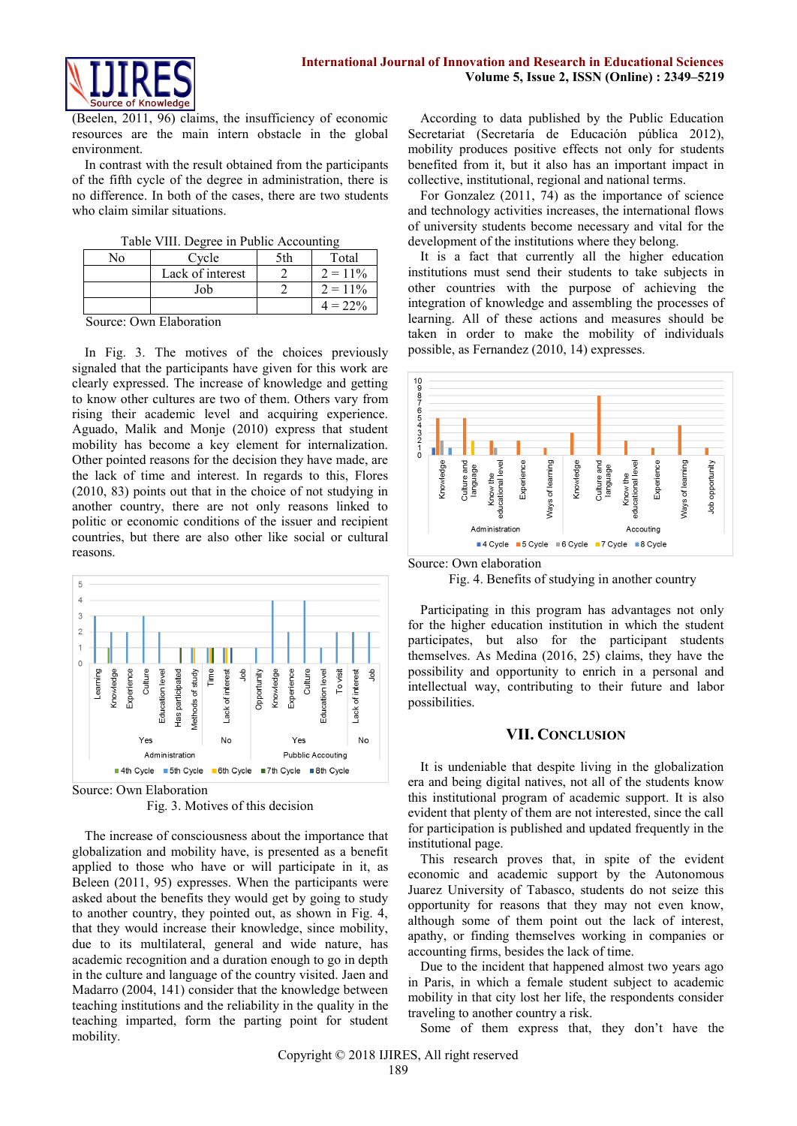

(Beelen, 2011, 96) claims, the insufficiency of economic resources are the main intern obstacle in the global environment.

In contrast with the result obtained from the participants of the fifth cycle of the degree in administration, there is no difference. In both of the cases, there are two students who claim similar situations.

| Nο | Cycle            | 5th | Total      |
|----|------------------|-----|------------|
|    | Lack of interest |     | $2 = 11\%$ |
|    | Job              |     | $2 = 11\%$ |
|    |                  |     | $4 = 22\%$ |

Source: Own Elaboration

In Fig. 3. The motives of the choices previously signaled that the participants have given for this work are clearly expressed. The increase of knowledge and getting to know other cultures are two of them. Others vary from rising their academic level and acquiring experience. Aguado, Malik and Monje (2010) express that student mobility has become a key element for internalization. Other pointed reasons for the decision they have made, are the lack of time and interest. In regards to this, Flores (2010, 83) points out that in the choice of not studying in another country, there are not only reasons linked to politic or economic conditions of the issuer and recipient countries, but there are also other like social or cultural reasons.



Source: Own Elaboration Fig. 3. Motives of this decision

The increase of consciousness about the importance that globalization and mobility have, is presented as a benefit applied to those who have or will participate in it, as Beleen (2011, 95) expresses. When the participants were asked about the benefits they would get by going to study to another country, they pointed out, as shown in Fig. 4, that they would increase their knowledge, since mobility, due to its multilateral, general and wide nature, has academic recognition and a duration enough to go in depth in the culture and language of the country visited. Jaen and Madarro (2004, 141) consider that the knowledge between teaching institutions and the reliability in the quality in the teaching imparted, form the parting point for student mobility.

According to data published by the Public Education Secretariat (Secretaría de Educación pública 2012), mobility produces positive effects not only for students benefited from it, but it also has an important impact in collective, institutional, regional and national terms.

For Gonzalez (2011, 74) as the importance of science and technology activities increases, the international flows of university students become necessary and vital for the development of the institutions where they belong.

It is a fact that currently all the higher education institutions must send their students to take subjects in other countries with the purpose of achieving the integration of knowledge and assembling the processes of learning. All of these actions and measures should be taken in order to make the mobility of individuals possible, as Fernandez (2010, 14) expresses.



Source: Own elaboration

Fig. 4. Benefits of studying in another country

Participating in this program has advantages not only for the higher education institution in which the student participates, but also for the participant students themselves. As Medina (2016, 25) claims, they have the possibility and opportunity to enrich in a personal and intellectual way, contributing to their future and labor possibilities.

#### **VII. CONCLUSION**

It is undeniable that despite living in the globalization era and being digital natives, not all of the students know this institutional program of academic support. It is also evident that plenty of them are not interested, since the call for participation is published and updated frequently in the institutional page.

This research proves that, in spite of the evident economic and academic support by the Autonomous Juarez University of Tabasco, students do not seize this opportunity for reasons that they may not even know, although some of them point out the lack of interest, apathy, or finding themselves working in companies or accounting firms, besides the lack of time.

Due to the incident that happened almost two years ago in Paris, in which a female student subject to academic mobility in that city lost her life, the respondents consider traveling to another country a risk.

Some of them express that, they don't have the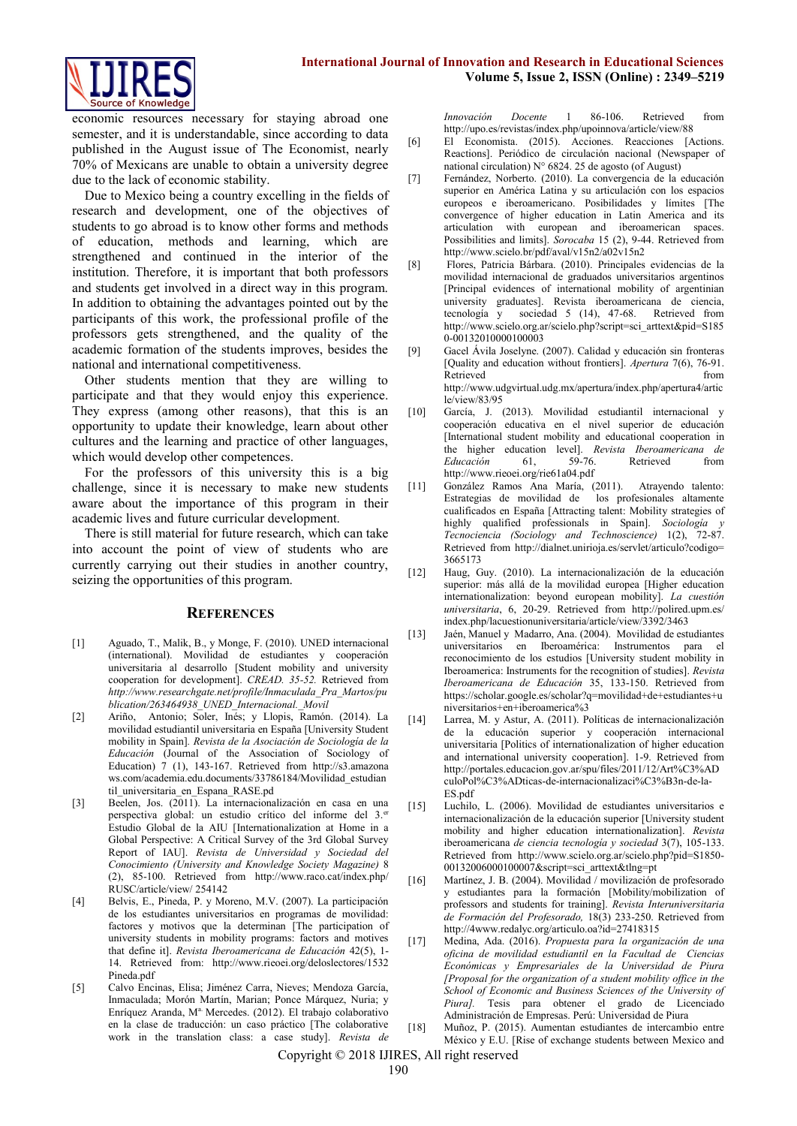

economic resources necessary for staying abroad one semester, and it is understandable, since according to data published in the August issue of The Economist, nearly 70% of Mexicans are unable to obtain a university degree due to the lack of economic stability.

Due to Mexico being a country excelling in the fields of research and development, one of the objectives of students to go abroad is to know other forms and methods of education, methods and learning, which are strengthened and continued in the interior of the institution. Therefore, it is important that both professors and students get involved in a direct way in this program. In addition to obtaining the advantages pointed out by the participants of this work, the professional profile of the professors gets strengthened, and the quality of the academic formation of the students improves, besides the national and international competitiveness.

Other students mention that they are willing to participate and that they would enjoy this experience. They express (among other reasons), that this is an opportunity to update their knowledge, learn about other cultures and the learning and practice of other languages, which would develop other competences.

For the professors of this university this is a big challenge, since it is necessary to make new students aware about the importance of this program in their academic lives and future curricular development.

There is still material for future research, which can take into account the point of view of students who are currently carrying out their studies in another country, seizing the opportunities of this program.

### **REFERENCES**

- [1] Aguado, T., Malik, B., y Monge, F. (2010). UNED internacional (international). Movilidad de estudiantes y cooperación universitaria al desarrollo [Student mobility and university cooperation for development]. *CREAD. 35-52.* Retrieved from *[http://www.researchgate.net/profile/Inmaculada\\_Pra\\_Martos/pu](http://www.researchgate.net/profile/Inmaculada_Pra_Martos/publication/263464938_UNED_Internacional._Movil) [blication/263464938\\_UNED\\_Internacional.\\_Movil](http://www.researchgate.net/profile/Inmaculada_Pra_Martos/publication/263464938_UNED_Internacional._Movil)*
- [2] Ariño, Antonio; Soler, Inés; y Llopis, Ramón. (2014). La movilidad estudiantil universitaria en España [University Student mobility in Spain]*. Revista de la Asociación de Sociología de la Educación* (Journal of the Association of Sociology of Education) 7 (1), 143-167. Retrieved from [http://s3.amazona](http://s3.amazonaws.com/academia.edu.documents/33786184/Movilidad_estudiantil_universitaria_en_Espana_RASE.pd) [ws.com/academia.edu.documents/33786184/Movilidad\\_estudian](http://s3.amazonaws.com/academia.edu.documents/33786184/Movilidad_estudiantil_universitaria_en_Espana_RASE.pd) [til\\_universitaria\\_en\\_Espana\\_RASE.pd](http://s3.amazonaws.com/academia.edu.documents/33786184/Movilidad_estudiantil_universitaria_en_Espana_RASE.pd)
- [3] Beelen, Jos. (2011). La internacionalización en casa en una perspectiva global: un estudio crítico del informe del 3.<sup>er</sup> Estudio Global de la AIU [Internationalization at Home in a Global Perspective: A Critical Survey of the 3rd Global Survey Report of IAU]. *Revista de Universidad y Sociedad del Conocimiento (University and Knowledge Society Magazine)* 8 (2), 85-100. Retrieved from [http://www.raco.cat/index.php/](http://www.raco.cat/index.php/RUSC/article/view/%20254142) [RUSC/article/view/](http://www.raco.cat/index.php/RUSC/article/view/%20254142) 254142
- [4] Belvis, E., Pineda, P. y Moreno, M.V. (2007). La participación de los estudiantes universitarios en programas de movilidad: factores y motivos que la determinan [The participation of university students in mobility programs: factors and motives that define it]. *Revista Iberoamericana de Educación* 42(5), 1- 14. Retrieved from: [http://www.rieoei.org/deloslectores/1532](http://www.rieoei.org/deloslectores/1532Pineda.pdf) [Pineda.pdf](http://www.rieoei.org/deloslectores/1532Pineda.pdf)
- [5] Calvo Encinas, Elisa; Jiménez Carra, Nieves; Mendoza García, Inmaculada; Morón Martín, Marian; Ponce Márquez, Nuria; y Enríquez Aranda, Mª Mercedes. (2012). El trabajo colaborativo en la clase de traducción: un caso práctico [The colaborative work in the translation class: a case study]. *Revista de*

*Innovación Docente* 1 86-106. Retrieved from <http://upo.es/revistas/index.php/upoinnova/article/view/88>

- [6] El Economista. (2015). Acciones. Reacciones [Actions. Reactions]. Periódico de circulación nacional (Newspaper of national circulation)  $N^{\circ}$  6824. 25 de agosto (of August)
- [7] Fernández, Norberto. (2010). La convergencia de la educación superior en América Latina y su articulación con los espacios europeos e iberoamericano. Posibilidades y límites [The convergence of higher education in Latin America and its articulation with european and iberoamerican spaces. Possibilities and limits]. *Sorocaba* 15 (2), 9-44. Retrieved from <http://www.scielo.br/pdf/aval/v15n2/a02v15n2>
- [8] Flores, Patricia Bárbara. (2010). Principales evidencias de la movilidad internacional de graduados universitarios argentinos [Principal evidences of international mobility of argentinian university graduates]. Revista iberoamericana de ciencia, tecnología y sociedad 5 (14), 47-68. Retrieved from [http://www.scielo.org.ar/scielo.php?script=sci\\_arttext&pid=S185](http://www.scielo.org.ar/scielo.php?script=sci_arttext&pid=S1850-00132010000100003) [0-00132010000100003](http://www.scielo.org.ar/scielo.php?script=sci_arttext&pid=S1850-00132010000100003)
- [9] Gacel Ávila Joselyne. (2007). Calidad y educación sin fronteras [Quality and education without frontiers]. *Apertura* 7(6), 76-91. Retrieved from  $\blacksquare$ [http://www.udgvirtual.udg.mx/apertura/index.php/apertura4/artic](http://www.udgvirtual.udg.mx/apertura/index.php/apertura4/article/view/83/95) [le/view/83/95](http://www.udgvirtual.udg.mx/apertura/index.php/apertura4/article/view/83/95)
- [10] García, J. (2013). Movilidad estudiantil internacional y cooperación educativa en el nivel superior de educación [International student mobility and educational cooperation in the higher education level]. *Revista Iberoamericana de Educación* 61, 59-76. Retrieved from <http://www.rieoei.org/rie61a04.pdf>
- [11] González Ramos Ana María, (2011). Atrayendo talento: Estrategias de movilidad de los profesionales altamente cualificados en España [Attracting talent: Mobility strategies of highly qualified professionals in Spain]. *Sociología y Tecnociencia (Sociology and Technoscience)* 1(2), 72-87. Retrieved from [http://dialnet.unirioja.es/servlet/articulo?codigo=](http://dialnet.unirioja.es/servlet/articulo?codigo=3665173) [3665173](http://dialnet.unirioja.es/servlet/articulo?codigo=3665173)
- [12] Haug, Guy. (2010). La internacionalización de la educación superior: más allá de la movilidad europea [Higher education internationalization: beyond european mobility]. *La cuestión universitaria*, 6, 20-29. Retrieved from [http://polired.upm.es/](http://polired.upm.es/index.php/lacuestionuniversitaria/article/view/3392/3463) [index.php/lacuestionuniversitaria/article/view/3392/3463](http://polired.upm.es/index.php/lacuestionuniversitaria/article/view/3392/3463)
- [13] Jaén, Manuel y Madarro, Ana. (2004). Movilidad de estudiantes universitarios en Iberoamérica: Instrumentos para el reconocimiento de los estudios [University student mobility in Iberoamerica: Instruments for the recognition of studies]. *Revista Iberoamericana de Educación* 35, 133-150. Retrieved from [https://scholar.google.es/scholar?q=movilidad+de+estudiantes+u](https://scholar.google.es/scholar?q=movilidad+de+estudiantes+universitarios+en+iberoamerica%253) [niversitarios+en+iberoamerica%3](https://scholar.google.es/scholar?q=movilidad+de+estudiantes+universitarios+en+iberoamerica%253)
- [14] Larrea, M. y Astur, A. (2011). Políticas de internacionalización de la educación superior y cooperación internacional universitaria [Politics of internationalization of higher education and international university cooperation]. 1-9. Retrieved from [http://portales.educacion.gov.ar/spu/files/2011/12/Art%C3%AD](http://portales.educacion.gov.ar/spu/files/2011/12/Art%C3%ADculoPol%C3%ADticas-de-internacionalizaci%C3%B3n-de-la-ES.pdf) [culoPol%C3%ADticas-de-internacionalizaci%C3%B3n-de-la-](http://portales.educacion.gov.ar/spu/files/2011/12/Art%C3%ADculoPol%C3%ADticas-de-internacionalizaci%C3%B3n-de-la-ES.pdf)[ES.pdf](http://portales.educacion.gov.ar/spu/files/2011/12/Art%C3%ADculoPol%C3%ADticas-de-internacionalizaci%C3%B3n-de-la-ES.pdf)
- [15] Luchilo, L. (2006). Movilidad de estudiantes universitarios e internacionalización de la educación superior [University student mobility and higher education internationalization]. *Revista*  iberoamericana *de ciencia tecnología y sociedad* 3(7), 105-133. Retrieved from [http://www.scielo.org.ar/scielo.php?pid=S1850-](http://www.scielo.org.ar/scielo.php?pid=S1850-00132006000100007&script=sci_arttext&tlng=pt) [00132006000100007&script=sci\\_arttext&tlng=pt](http://www.scielo.org.ar/scielo.php?pid=S1850-00132006000100007&script=sci_arttext&tlng=pt)
- [16] Martínez, J. B. (2004). Movilidad / movilización de profesorado y estudiantes para la formación [Mobility/mobilization of professors and students for training]. *Revista Interuniversitaria de Formación del Profesorado,* 18(3) 233-250. Retrieved from <http://4www.redalyc.org/articulo.oa?id=27418315>
- [17] Medina, Ada. (2016). *Propuesta para la organización de una oficina de movilidad estudiantil en la Facultad de Ciencias Económicas y Empresariales de la Universidad de Piura [Proposal for the organization of a student mobility office in the School of Economic and Business Sciences of the University of Piura].* Tesis para obtener el grado de Licenciado Administración de Empresas. Perú: Universidad de Piura
- [18] Muñoz, P. (2015). Aumentan estudiantes de intercambio entre México y E.U. [Rise of exchange students between Mexico and